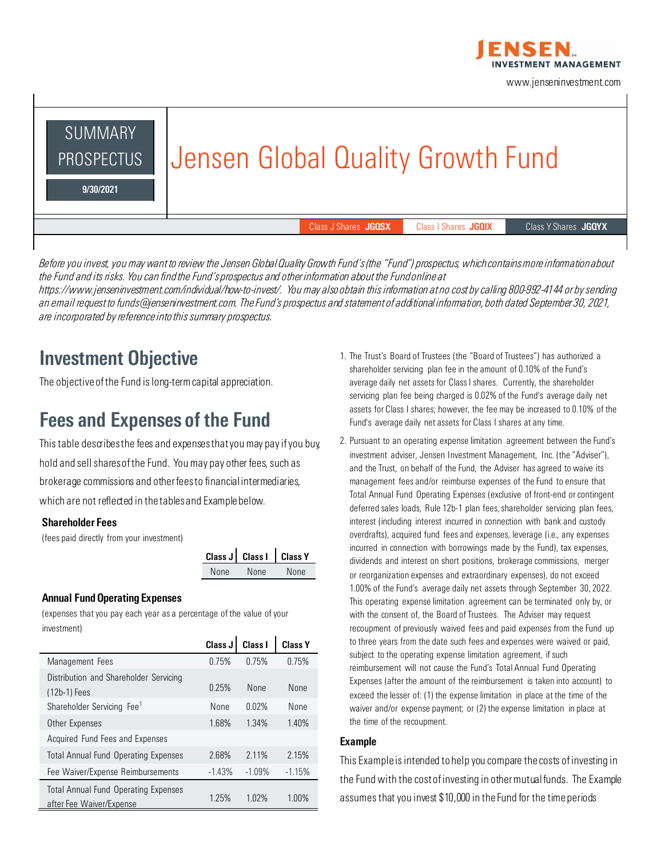

www.jenseninvestment.com



*Before you invest, you may want to review the Jensen Global Quality Growth Fund's (the "Fund") prospectus, which contains more information about the Fund and its risks. You can find the Fund's prospectus and other information about the Fund online at https://www.jenseninvestment.com/individual/how-to-invest/. You may also obtain this information at no cost by calling 800-992-4144 or by sending an email request to funds@jenseninvestment.com. The Fund's prospectus and statement of additional information, both dated September 30, 2021, are incorporated by reference into this summary prospectus.*

# Investment Objective

The objective of the Fund is long-term capital appreciation.

### Fees and Expenses of the Fund

This table describes the fees and expenses that you may pay if you buy, hold and sell shares of the Fund. You may pay other fees, such as brokerage commissions and other fees to financial intermediaries, which are not reflected in the tables and Example below.

#### Shareholder Fees

(fees paid directly from your investment)

|      | Class J   Class I   Class Y |      |
|------|-----------------------------|------|
| None | None                        | None |

#### Annual Fund Operating Expenses

(expenses that you pay each year as a percentage of the value of your investment)

|                                                                         | Class J  | Class I  | <b>Class Y</b> |
|-------------------------------------------------------------------------|----------|----------|----------------|
| Management Fees                                                         | 0.75%    | 0.75%    | 0.75%          |
| Distribution and Shareholder Servicing<br>(12b-1) Fees                  | 0.25%    | None     | None           |
| Shareholder Servicing Fee <sup>1</sup>                                  | None     | 0.02%    | None           |
| Other Expenses                                                          | 1.68%    | 1.34%    | 1.40%          |
| Acquired Fund Fees and Expenses                                         |          |          |                |
| <b>Total Annual Fund Operating Expenses</b>                             | 2.68%    | 2.11%    | 2.15%          |
| Fee Waiver/Expense Reimbursements                                       | $-1.43%$ | $-1.09%$ | $-1.15%$       |
| <b>Total Annual Fund Operating Expenses</b><br>after Fee Waiver/Expense | 1.25%    | 1.02%    | 1.00%          |

- 1. The Trust's Board of Trustees (the "Board of Trustees") has authorized a shareholder servicing plan fee in the amount of 0.10% of the Fund's average daily net assets for Class I shares. Currently, the shareholder servicing plan fee being charged is 0.02% of the Fund's average daily net assets for Class I shares; however, the fee may be increased to 0.10% of the Fund's average daily net assets for Class I shares at any time.
- 2. Pursuant to an operating expense limitation agreement between the Fund's investment adviser, Jensen Investment Management, Inc. (the "Adviser"), and the Trust, on behalf of the Fund, the Adviser has agreed to waive its management fees and/or reimburse expenses of the Fund to ensure that Total Annual Fund Operating Expenses (exclusive of front-end or contingent deferred sales loads, Rule 12b-1 plan fees, shareholder servicing plan fees, interest (including interest incurred in connection with bank and custody overdrafts), acquired fund fees and expenses, leverage (i.e., any expenses incurred in connection with borrowings made by the Fund), tax expenses, dividends and interest on short positions, brokerage commissions, merger or reorganization expenses and extraordinary expenses), do not exceed 1.00% of the Fund's average daily net assets through September 30, 2022. This operating expense limitation agreement can be terminated only by, or with the consent of, the Board of Trustees. The Adviser may request recoupment of previously waived fees and paid expenses from the Fund up to three years from the date such fees and expenses were waived or paid, subject to the operating expense limitation agreement, if such reimbursement will not cause the Fund's Total Annual Fund Operating Expenses (after the amount of the reimbursement is taken into account) to exceed the lesser of: (1) the expense limitation in place at the time of the waiver and/or expense payment; or (2) the expense limitation in place at the time of the recoupment.

#### Example

This Example is intended to help you compare the costs of investing in the Fund with the cost of investing in other mutual funds. The Example assumes that you invest \$10,000 in the Fund for the time periods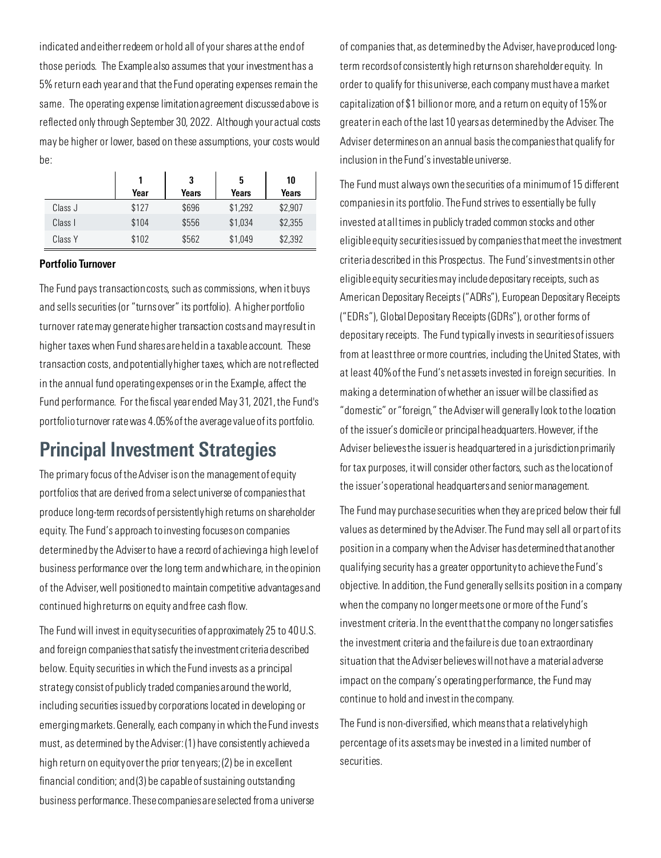indicated and either redeem or hold all of your shares at the end of those periods. The Example also assumes that your investment has a 5% return each year and that the Fund operating expenses remain the same. The operating expense limitation agreement discussed above is reflected only through September 30, 2022. Although your actual costs may be higher or lower, based on these assumptions, your costs would be:

|         |       | 3     | 5       | 10      |
|---------|-------|-------|---------|---------|
|         | Year  | Years | Years   | Years   |
| Class J | \$127 | \$696 | \$1,292 | \$2,907 |
| Class I | \$104 | \$556 | \$1,034 | \$2,355 |
| Class Y | \$102 | \$562 | \$1,049 | \$2,392 |

#### Portfolio Turnover

The Fund pays transaction costs, such as commissions, when it buys and sells securities (or "turns over" its portfolio). A higher portfolio turnover rate may generate higher transaction costs and may result in higher taxes when Fund shares are held in a taxable account. These transaction costs, and potentially higher taxes, which are not reflected in the annual fund operating expenses or in the Example, affect the Fund performance. For the fiscal year ended May 31, 2021, the Fund's portfolio turnover rate was 4.05% of the average value of its portfolio.

### Principal Investment Strategies

The primary focus of the Adviser is on the management of equity portfolios that are derived from a select universe of companies that produce long-term records of persistently high returns on shareholder equity. The Fund's approach to investing focuses on companies determined by the Adviser to have a record of achieving a high level of business performance over the long term and which are, in the opinion of the Adviser, well positioned to maintain competitive advantages and continued high returns on equity and free cash flow.

The Fund will invest in equity securities of approximately 25 to 40 U.S. and foreign companies that satisfy the investment criteria described below. Equity securities in which the Fund invests as a principal strategy consist of publicly traded companies around the world, including securities issued by corporations located in developing or emerging markets. Generally, each company in which the Fund invests must, as determined by the Adviser: (1) have consistently achieved a high return on equity over the prior ten years; (2) be in excellent financial condition; and (3) be capable of sustaining outstanding business performance. These companies are selected from a universe

of companies that, as determined by the Adviser, have produced longterm records of consistently high returns on shareholder equity. In order to qualify for this universe, each company must have a market capitalization of \$1 billion or more, and a return on equity of 15% or greater in each of the last 10 years as determined by the Adviser. The Adviser determines on an annual basis the companies that qualify for inclusion in the Fund's investable universe.

The Fund must always own the securities of a minimum of 15 different companies in its portfolio. The Fund strives to essentially be fully invested at all times in publicly traded common stocks and other eligible equity securities issued by companies that meet the investment criteria described in this Prospectus. The Fund's investments in other eligible equity securities may include depositary receipts, such as American Depositary Receipts ("ADRs"), European Depositary Receipts ("EDRs"), Global Depositary Receipts (GDRs"), or other forms of depositary receipts. The Fund typically invests in securities of issuers from at least three or more countries, including the United States, with at least 40% of the Fund's net assets invested in foreign securities. In making a determination of whether an issuer will be classified as "domestic" or "foreign," the Adviser will generally look to the location of the issuer's domicile or principal headquarters. However, if the Adviser believes the issuer is headquartered in a jurisdiction primarily for tax purposes, it will consider other factors, such as the location of the issuer's operational headquarters and senior management.

The Fund may purchase securities when they are priced below their full values as determined by the Adviser. The Fund may sell all or part of its position in a company when the Adviser has determined that another qualifying security has a greater opportunity to achieve the Fund's objective. In addition, the Fund generally sells its position in a company when the company no longer meets one or more of the Fund's investment criteria. In the event that the company no longer satisfies the investment criteria and the failure is due to an extraordinary situation that the Adviser believes will not have a material adverse impact on the company's operating performance, the Fund may continue to hold and invest in the company.

The Fund is non-diversified, which means that a relatively high percentage of its assets may be invested in a limited number of securities.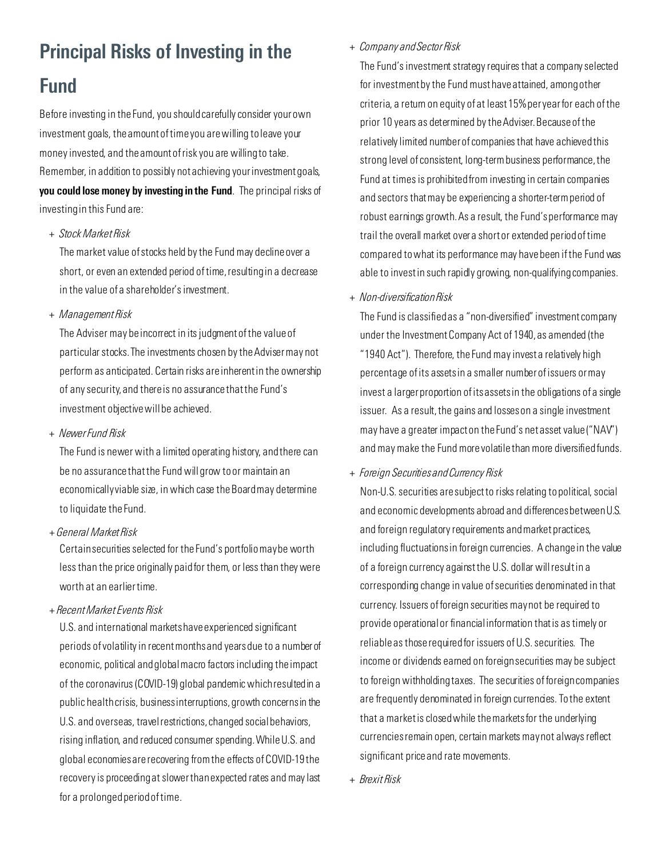# Principal Risks of Investing in the Fund

Before investing in the Fund, you should carefully consider your own investment goals, the amount of time you are willing to leave your money invested, and the amount of risk you are willing to take. Remember, in addition to possibly not achieving your investment goals, you could lose money by investing in the Fund. The principal risks of investing in this Fund are:

*+ Stock Market Risk*

The market value of stocks held by the Fund may decline over a short, or even an extended period of time, resulting in a decrease in the value of a shareholder's investment.

*+ Management Risk*

The Adviser may be incorrect in its judgment of the value of particular stocks. The investments chosen by the Adviser may not perform as anticipated. Certain risks are inherent in the ownership of any security, and there is no assurance that the Fund's investment objective will be achieved.

*+ Newer Fund Risk*

The Fund is newer with a limited operating history, and there can be no assurance that the Fund will grow to or maintain an economically viable size, in which case the Board may determine to liquidate the Fund.

+ *General Market Risk*

Certain securities selected for the Fund's portfolio may be worth less than the price originally paid for them, or less than they were worth at an earlier time.

+ *Recent Market Events Risk*

U.S. and international markets have experienced significant periods of volatility in recent months and years due to a number of economic, political and global macro factors including the impact of the coronavirus (COVID-19) global pandemic which resulted in a public health crisis, business interruptions, growth concerns in the U.S. and overseas, travel restrictions, changed social behaviors, rising inflation, and reduced consumer spending. While U.S. and global economies are recovering from the effects of COVID-19 the recovery is proceeding at slower than expected rates and may last for a prolonged period of time.

#### *+ Company and Sector Risk*

The Fund's investment strategy requires that a company selected for investment by the Fund must have attained, among other criteria, a return on equity of at least 15% per year for each of the prior 10 years as determined by the Adviser. Because of the relatively limited number of companies that have achieved this strong level of consistent, long-term business performance, the Fund at times is prohibited from investing in certain companies and sectors that may be experiencing a shorter-term period of robust earnings growth. As a result, the Fund's performance may trail the overall market over a short or extended period of time compared to what its performance may have been if the Fund was able to invest in such rapidly growing, non-qualifying companies.

*+ Non-diversification Risk*

The Fund is classified as a "non-diversified" investment company under the Investment Company Act of 1940, as amended (the "1940 Act"). Therefore, the Fund may invest a relatively high percentage of its assets in a smaller number of issuers or may invest a larger proportion of its assets in the obligations of a single issuer. As a result, the gains and losses on a single investment may have a greater impact on the Fund's net asset value ("NAV") and may make the Fund more volatile than more diversified funds.

*+ Foreign Securities and Currency Risk*

Non-U.S. securities are subject to risks relating to political, social and economic developments abroad and differences between U.S. and foreign regulatory requirements and market practices, including fluctuations in foreign currencies. A change in the value of a foreign currency against the U.S. dollar will result in a corresponding change in value of securities denominated in that currency. Issuers of foreign securities may not be required to provide operational or financial information that is as timely or reliable as those required for issuers of U.S. securities. The income or dividends earned on foreign securities may be subject to foreign withholding taxes. The securities of foreign companies are frequently denominated in foreign currencies. To the extent that a market is closed while the markets for the underlying currencies remain open, certain markets may not always reflect significant price and rate movements.

*+ Brexit Risk*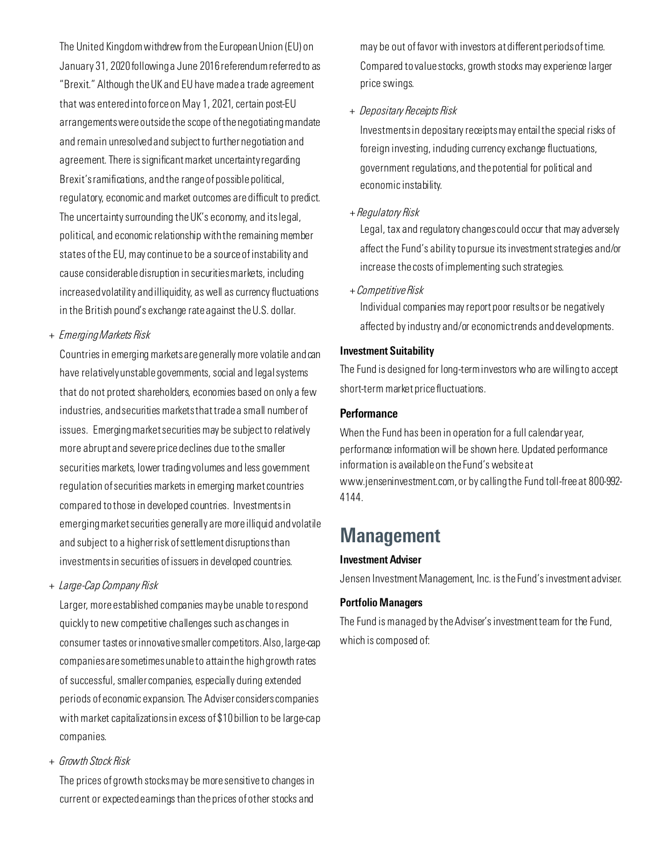The United Kingdom withdrew from the European Union (EU) on January 31, 2020 following a June 2016 referendum referred to as "Brexit." Although the UK and EU have made a trade agreement that was entered into force on May 1, 2021, certain post-EU arrangements were outside the scope of the negotiating mandate and remain unresolved and subject to further negotiation and agreement. There is significant market uncertainty regarding Brexit's ramifications, and the range of possible political, regulatory, economic and market outcomes are difficult to predict. The uncertainty surrounding the UK's economy, and its legal, political, and economic relationship with the remaining member states of the EU, may continue to be a source of instability and cause considerable disruption in securities markets, including increased volatility and illiquidity, as well as currency fluctuations in the British pound's exchange rate against theU.S. dollar.

*+ Emerging Markets Risk*

Countries in emerging markets are generally more volatile and can have relatively unstable governments, social and legal systems that do not protect shareholders, economies based on only a few industries, and securities markets that trade a small number of issues. Emerging market securities may be subject to relatively more abrupt and severe price declines due to the smaller securities markets, lower trading volumes and less government regulation of securities markets in emerging market countries compared to those in developed countries. Investments in emerging market securities generally are more illiquid and volatile and subject to a higher risk of settlement disruptions than investments in securities of issuers in developed countries.

*+ Large-Cap Company Risk*

Larger, more established companies may be unable to respond quickly to new competitive challenges such as changes in consumer tastes or innovative smaller competitors. Also, large-cap companies are sometimes unable to attain the high growth rates of successful, smaller companies, especially during extended periods of economic expansion. The Adviser considers companies with market capitalizations in excess of \$10 billion to be large-cap companies.

*+ Growth Stock Risk*

The prices of growth stocks may be more sensitive to changes in current or expected earnings than the prices of other stocks and

may be out of favor with investors at different periods of time. Compared to value stocks, growth stocks may experience larger price swings.

#### *+ Depositary Receipts Risk*

Investments in depositary receipts may entail the special risks of foreign investing, induding currency exchange fluctuations, government regulations, and the potential for political and economic instability.

+ *Regulatory Risk* 

Legal, tax and regulatory changes could occur that may adversely affect the Fund's ability to pursue its investment strategies and/or increase the costs of implementing such strategies.

+ *Competitive Risk*

Individual companies may report poor results or be negatively affected by industry and/or economic trends and developments.

#### Investment Suitability

The Fund is designed for long-term investors who are willing to accept short-term market price fluctuations.

#### **Performance**

When the Fund has been in operation for a full calendar year, performance information will be shown here. Updated performance information is available on the Fund's website at www.jenseninvestment.com, or by calling the Fund toll-free at 800-992- 4144.

# **Management**

#### Investment Adviser

Jensen Investment Management, Inc. is the Fund's investment adviser.

#### Portfolio Managers

The Fund is managed by the Adviser's investment team for the Fund, which is composed of: